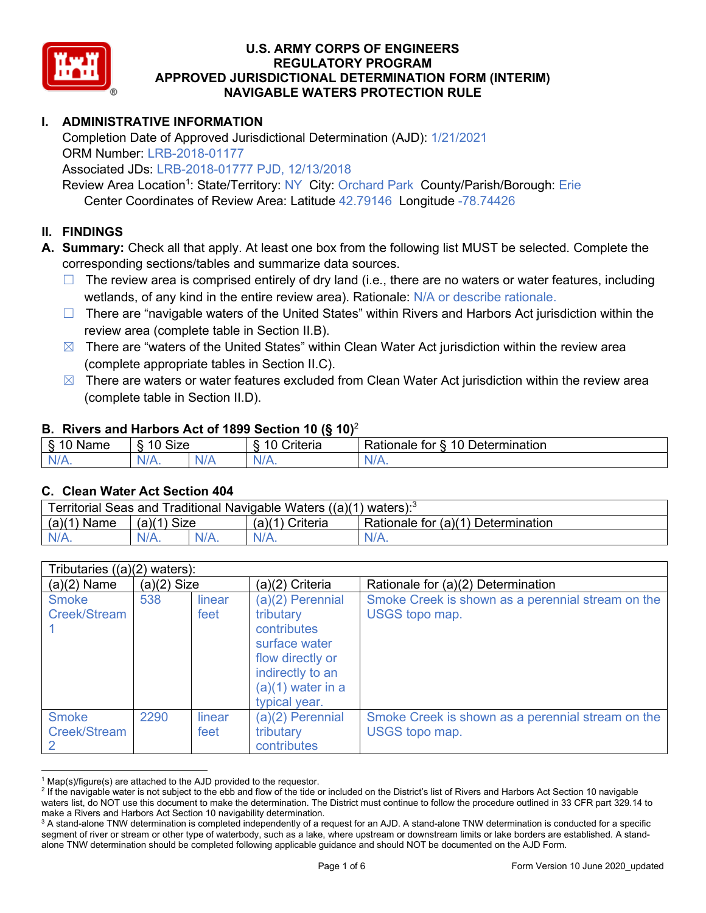

# **I. ADMINISTRATIVE INFORMATION**

Completion Date of Approved Jurisdictional Determination (AJD): 1/21/2021 ORM Number: LRB-2018-01177

Associated JDs: LRB-2018-01777 PJD, 12/13/2018

Review Area Location<sup>1</sup>: State/Territory: NY City: Orchard Park County/Parish/Borough: Erie Center Coordinates of Review Area: Latitude 42.79146 Longitude -78.74426

#### **II. FINDINGS**

**A. Summary:** Check all that apply. At least one box from the following list MUST be selected. Complete the corresponding sections/tables and summarize data sources.

- $\Box$  The review area is comprised entirely of dry land (i.e., there are no waters or water features, including wetlands, of any kind in the entire review area). Rationale: N/A or describe rationale.
- $\Box$  There are "navigable waters of the United States" within Rivers and Harbors Act jurisdiction within the review area (complete table in Section II.B).
- $\boxtimes$  There are "waters of the United States" within Clean Water Act jurisdiction within the review area (complete appropriate tables in Section II.C).
- $\boxtimes$  There are waters or water features excluded from Clean Water Act jurisdiction within the review area (complete table in Section II.D).

#### **B. Rivers and Harbors Act of 1899 Section 10 (§ 10)**<sup>2</sup>

|          | w                                                  |    |                                 |                                                |  |  |  |
|----------|----------------------------------------------------|----|---------------------------------|------------------------------------------------|--|--|--|
| Name     | Size<br>$\overline{A}$ $\overline{C}$<br>C.<br>ιч. |    | $\sim$ $\sim$<br>10<br>Criteria | <b>Determination</b><br>10<br>tor<br>≺atıonale |  |  |  |
| N/L<br>. | 'N/A.                                              | ND | 97 / TV                         | ъ.<br>$\mathbf{v}$                             |  |  |  |

#### **C. Clean Water Act Section 404**

| Territorial Seas and Traditional Navigable Waters $((a)(1)$ waters): <sup>3</sup> |                |  |                 |                                    |  |
|-----------------------------------------------------------------------------------|----------------|--|-----------------|------------------------------------|--|
| (a)(1)<br>Name                                                                    | Size<br>(a)(1) |  | (a)(1) Criteria | Rationale for (a)(1) Determination |  |
|                                                                                   | $N/A$ .        |  | $N/A$ .         | $N/A$ .                            |  |

| Tributaries $((a)(2)$ waters):      |               |                |                                                                                                                                               |                                                                            |  |  |
|-------------------------------------|---------------|----------------|-----------------------------------------------------------------------------------------------------------------------------------------------|----------------------------------------------------------------------------|--|--|
| $(a)(2)$ Name                       | $(a)(2)$ Size |                | $(a)(2)$ Criteria                                                                                                                             | Rationale for (a)(2) Determination                                         |  |  |
| <b>Smoke</b><br>Creek/Stream        | 538           | linear<br>feet | (a)(2) Perennial<br>tributary<br>contributes<br>surface water<br>flow directly or<br>indirectly to an<br>$(a)(1)$ water in a<br>typical year. | Smoke Creek is shown as a perennial stream on the<br>USGS topo map.        |  |  |
| <b>Smoke</b><br><b>Creek/Stream</b> | 2290          | linear<br>feet | (a)(2) Perennial<br>tributary<br>contributes                                                                                                  | Smoke Creek is shown as a perennial stream on the<br><b>USGS topo map.</b> |  |  |

 $1$  Map(s)/figure(s) are attached to the AJD provided to the requestor.

<sup>&</sup>lt;sup>2</sup> If the navigable water is not subject to the ebb and flow of the tide or included on the District's list of Rivers and Harbors Act Section 10 navigable waters list, do NOT use this document to make the determination. The District must continue to follow the procedure outlined in 33 CFR part 329.14 to make a Rivers and Harbors Act Section 10 navigability determination.

<sup>&</sup>lt;sup>3</sup> A stand-alone TNW determination is completed independently of a request for an AJD. A stand-alone TNW determination is conducted for a specific segment of river or stream or other type of waterbody, such as a lake, where upstream or downstream limits or lake borders are established. A standalone TNW determination should be completed following applicable guidance and should NOT be documented on the AJD Form.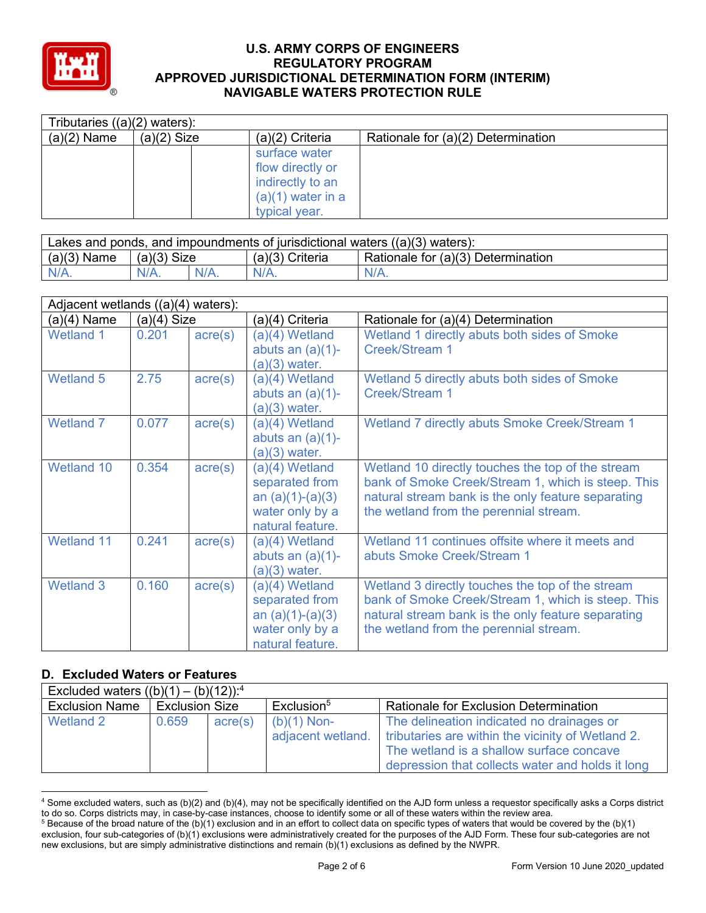

| Tributaries $((a)(2)$ waters): |               |                     |                                    |  |  |  |
|--------------------------------|---------------|---------------------|------------------------------------|--|--|--|
| $(a)(2)$ Name                  | $(a)(2)$ Size | $(a)(2)$ Criteria   | Rationale for (a)(2) Determination |  |  |  |
|                                |               | surface water       |                                    |  |  |  |
|                                |               | flow directly or    |                                    |  |  |  |
|                                |               | indirectly to an    |                                    |  |  |  |
|                                |               | $(a)(1)$ water in a |                                    |  |  |  |
|                                |               | typical year.       |                                    |  |  |  |

| Lakes and ponds, and impoundments of jurisdictional waters ((a)(3) waters): |               |         |                 |                                    |  |
|-----------------------------------------------------------------------------|---------------|---------|-----------------|------------------------------------|--|
| $(a)(3)$ Name                                                               | $(a)(3)$ Size |         | (a)(3) Criteria | Rationale for (a)(3) Determination |  |
| $N/A$ .                                                                     |               | $N/A$ . | N/A             | $N/A$ .                            |  |

|                   | Adjacent wetlands ((a)(4) waters): |                  |                     |                                                    |  |  |
|-------------------|------------------------------------|------------------|---------------------|----------------------------------------------------|--|--|
| (a)(4) Name       | $(a)(4)$ Size                      |                  | (a)(4) Criteria     | Rationale for (a)(4) Determination                 |  |  |
| <b>Wetland 1</b>  | 0.201                              | $\text{acre}(s)$ | (a)(4) Wetland      | Wetland 1 directly abuts both sides of Smoke       |  |  |
|                   |                                    |                  | abuts an $(a)(1)$ - | <b>Creek/Stream 1</b>                              |  |  |
|                   |                                    |                  | $(a)(3)$ water.     |                                                    |  |  |
| Wetland 5         | 2.75                               | $\text{acre}(s)$ | (a)(4) Wetland      | Wetland 5 directly abuts both sides of Smoke       |  |  |
|                   |                                    |                  | abuts an $(a)(1)$ - | <b>Creek/Stream 1</b>                              |  |  |
|                   |                                    |                  | $(a)(3)$ water.     |                                                    |  |  |
| <b>Wetland 7</b>  | 0.077                              | $\text{acre}(s)$ | (a)(4) Wetland      | Wetland 7 directly abuts Smoke Creek/Stream 1      |  |  |
|                   |                                    |                  | abuts an $(a)(1)$ - |                                                    |  |  |
|                   |                                    |                  | $(a)(3)$ water.     |                                                    |  |  |
| Wetland 10        | 0.354                              | $\text{acre}(s)$ | (a)(4) Wetland      | Wetland 10 directly touches the top of the stream  |  |  |
|                   |                                    |                  | separated from      | bank of Smoke Creek/Stream 1, which is steep. This |  |  |
|                   |                                    |                  | an $(a)(1)-(a)(3)$  | natural stream bank is the only feature separating |  |  |
|                   |                                    |                  | water only by a     | the wetland from the perennial stream.             |  |  |
|                   |                                    |                  | natural feature.    |                                                    |  |  |
| <b>Wetland 11</b> | 0.241                              | $\text{acre}(s)$ | (a)(4) Wetland      | Wetland 11 continues offsite where it meets and    |  |  |
|                   |                                    |                  | abuts an $(a)(1)$ - | abuts Smoke Creek/Stream 1                         |  |  |
|                   |                                    |                  | $(a)(3)$ water.     |                                                    |  |  |
| <b>Wetland 3</b>  | 0.160                              | $\text{acre}(s)$ | (a)(4) Wetland      | Wetland 3 directly touches the top of the stream   |  |  |
|                   |                                    |                  | separated from      | bank of Smoke Creek/Stream 1, which is steep. This |  |  |
|                   |                                    |                  | an $(a)(1)-(a)(3)$  | natural stream bank is the only feature separating |  |  |
|                   |                                    |                  | water only by a     | the wetland from the perennial stream.             |  |  |
|                   |                                    |                  | natural feature.    |                                                    |  |  |

#### **D. Excluded Waters or Features**

| Excluded waters $((b)(1) - (b)(12))$ : <sup>4</sup> |                       |         |                                    |                                                                                                                                                                                                |  |  |
|-----------------------------------------------------|-----------------------|---------|------------------------------------|------------------------------------------------------------------------------------------------------------------------------------------------------------------------------------------------|--|--|
| <b>Exclusion Name</b>                               | <b>Exclusion Size</b> |         | Exclusion <sup>5</sup>             | <b>Rationale for Exclusion Determination</b>                                                                                                                                                   |  |  |
| Wetland 2                                           | 0.659                 | acre(s) | $(b)(1)$ Non-<br>adjacent wetland. | The delineation indicated no drainages or<br>tributaries are within the vicinity of Wetland 2.<br>The wetland is a shallow surface concave<br>depression that collects water and holds it long |  |  |

<sup>4</sup> Some excluded waters, such as (b)(2) and (b)(4), may not be specifically identified on the AJD form unless a requestor specifically asks a Corps district to do so. Corps districts may, in case-by-case instances, choose to identify some or all of these waters within the review area.  $5$  Because of the broad nature of the (b)(1) exclusion and in an effort to collect data on specific types of waters that would be covered by the (b)(1)

exclusion, four sub-categories of (b)(1) exclusions were administratively created for the purposes of the AJD Form. These four sub-categories are not new exclusions, but are simply administrative distinctions and remain (b)(1) exclusions as defined by the NWPR.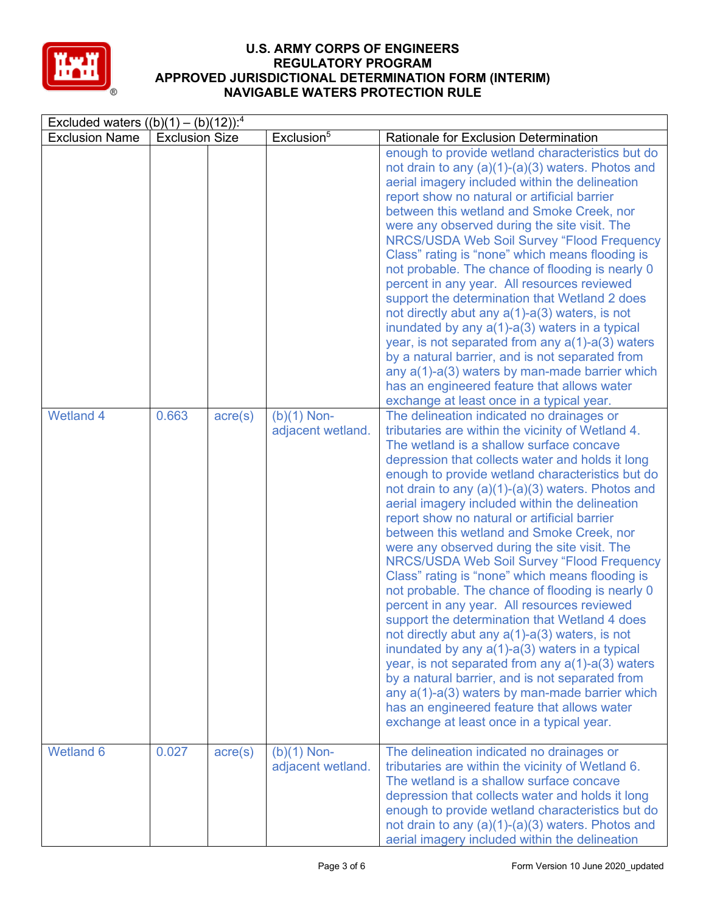

| Excluded waters $((b)(1) - (b)(12))$ : <sup>4</sup> |                       |                  |                                    |                                                                                                                                                                                                                                                                                                                                                                                                                                                                                                                                                                                                                                                                                                                                                                                                                                                                                                                                                                                                                                                                                                                                              |  |  |
|-----------------------------------------------------|-----------------------|------------------|------------------------------------|----------------------------------------------------------------------------------------------------------------------------------------------------------------------------------------------------------------------------------------------------------------------------------------------------------------------------------------------------------------------------------------------------------------------------------------------------------------------------------------------------------------------------------------------------------------------------------------------------------------------------------------------------------------------------------------------------------------------------------------------------------------------------------------------------------------------------------------------------------------------------------------------------------------------------------------------------------------------------------------------------------------------------------------------------------------------------------------------------------------------------------------------|--|--|
| <b>Exclusion Name</b>                               | <b>Exclusion Size</b> |                  | Exclusion <sup>5</sup>             | Rationale for Exclusion Determination                                                                                                                                                                                                                                                                                                                                                                                                                                                                                                                                                                                                                                                                                                                                                                                                                                                                                                                                                                                                                                                                                                        |  |  |
|                                                     |                       |                  |                                    | enough to provide wetland characteristics but do<br>not drain to any $(a)(1)-(a)(3)$ waters. Photos and<br>aerial imagery included within the delineation<br>report show no natural or artificial barrier<br>between this wetland and Smoke Creek, nor<br>were any observed during the site visit. The<br><b>NRCS/USDA Web Soil Survey "Flood Frequency</b><br>Class" rating is "none" which means flooding is<br>not probable. The chance of flooding is nearly 0<br>percent in any year. All resources reviewed<br>support the determination that Wetland 2 does<br>not directly abut any $a(1)$ - $a(3)$ waters, is not<br>inundated by any $a(1)$ -a(3) waters in a typical<br>year, is not separated from any $a(1)$ -a(3) waters<br>by a natural barrier, and is not separated from<br>any a(1)-a(3) waters by man-made barrier which<br>has an engineered feature that allows water<br>exchange at least once in a typical year.                                                                                                                                                                                                      |  |  |
| <b>Wetland 4</b>                                    | 0.663                 | $\text{acre}(s)$ | $(b)(1)$ Non-<br>adjacent wetland. | The delineation indicated no drainages or<br>tributaries are within the vicinity of Wetland 4.<br>The wetland is a shallow surface concave<br>depression that collects water and holds it long<br>enough to provide wetland characteristics but do<br>not drain to any $(a)(1)-(a)(3)$ waters. Photos and<br>aerial imagery included within the delineation<br>report show no natural or artificial barrier<br>between this wetland and Smoke Creek, nor<br>were any observed during the site visit. The<br><b>NRCS/USDA Web Soil Survey "Flood Frequency</b><br>Class" rating is "none" which means flooding is<br>not probable. The chance of flooding is nearly 0<br>percent in any year. All resources reviewed<br>support the determination that Wetland 4 does<br>not directly abut any $a(1)$ - $a(3)$ waters, is not<br>inundated by any a(1)-a(3) waters in a typical<br>year, is not separated from any $a(1)$ -a(3) waters<br>by a natural barrier, and is not separated from<br>any $a(1)$ - $a(3)$ waters by man-made barrier which<br>has an engineered feature that allows water<br>exchange at least once in a typical year. |  |  |
| Wetland 6                                           | 0.027                 | $\text{acre}(s)$ | $(b)(1)$ Non-<br>adjacent wetland. | The delineation indicated no drainages or<br>tributaries are within the vicinity of Wetland 6.<br>The wetland is a shallow surface concave<br>depression that collects water and holds it long<br>enough to provide wetland characteristics but do<br>not drain to any $(a)(1)-(a)(3)$ waters. Photos and<br>aerial imagery included within the delineation                                                                                                                                                                                                                                                                                                                                                                                                                                                                                                                                                                                                                                                                                                                                                                                  |  |  |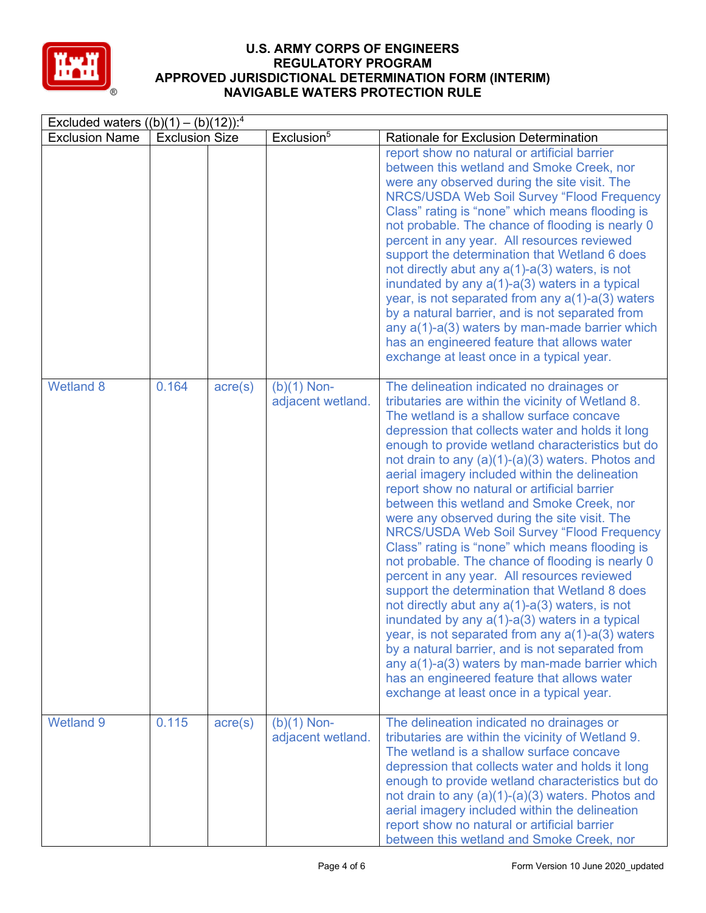

| Excluded waters $((b)(1) - (b)(12))$ : <sup>4</sup> |                       |                  |                                    |                                                                                                                                                                                                                                                                                                                                                                                                                                                                                                                                                                                                                                                                                                                                                                                                                                                                                                                                                                                                                                                                                                                                        |  |  |
|-----------------------------------------------------|-----------------------|------------------|------------------------------------|----------------------------------------------------------------------------------------------------------------------------------------------------------------------------------------------------------------------------------------------------------------------------------------------------------------------------------------------------------------------------------------------------------------------------------------------------------------------------------------------------------------------------------------------------------------------------------------------------------------------------------------------------------------------------------------------------------------------------------------------------------------------------------------------------------------------------------------------------------------------------------------------------------------------------------------------------------------------------------------------------------------------------------------------------------------------------------------------------------------------------------------|--|--|
| <b>Exclusion Name</b>                               | <b>Exclusion Size</b> |                  | Exclusion <sup>5</sup>             | Rationale for Exclusion Determination                                                                                                                                                                                                                                                                                                                                                                                                                                                                                                                                                                                                                                                                                                                                                                                                                                                                                                                                                                                                                                                                                                  |  |  |
|                                                     |                       |                  |                                    | report show no natural or artificial barrier<br>between this wetland and Smoke Creek, nor<br>were any observed during the site visit. The<br><b>NRCS/USDA Web Soil Survey "Flood Frequency</b><br>Class" rating is "none" which means flooding is<br>not probable. The chance of flooding is nearly 0<br>percent in any year. All resources reviewed<br>support the determination that Wetland 6 does<br>not directly abut any $a(1)$ - $a(3)$ waters, is not<br>inundated by any $a(1)$ - $a(3)$ waters in a typical<br>year, is not separated from any $a(1)$ -a(3) waters<br>by a natural barrier, and is not separated from<br>any $a(1)$ - $a(3)$ waters by man-made barrier which<br>has an engineered feature that allows water<br>exchange at least once in a typical year.                                                                                                                                                                                                                                                                                                                                                    |  |  |
| <b>Wetland 8</b>                                    | 0.164                 | $\text{acre}(s)$ | $(b)(1)$ Non-<br>adjacent wetland. | The delineation indicated no drainages or<br>tributaries are within the vicinity of Wetland 8.<br>The wetland is a shallow surface concave<br>depression that collects water and holds it long<br>enough to provide wetland characteristics but do<br>not drain to any $(a)(1)-(a)(3)$ waters. Photos and<br>aerial imagery included within the delineation<br>report show no natural or artificial barrier<br>between this wetland and Smoke Creek, nor<br>were any observed during the site visit. The<br><b>NRCS/USDA Web Soil Survey "Flood Frequency</b><br>Class" rating is "none" which means flooding is<br>not probable. The chance of flooding is nearly 0<br>percent in any year. All resources reviewed<br>support the determination that Wetland 8 does<br>not directly abut any a(1)-a(3) waters, is not<br>inundated by any $a(1)$ - $a(3)$ waters in a typical<br>year, is not separated from any $a(1)$ -a(3) waters<br>by a natural barrier, and is not separated from<br>any a(1)-a(3) waters by man-made barrier which<br>has an engineered feature that allows water<br>exchange at least once in a typical year. |  |  |
| <b>Wetland 9</b>                                    | 0.115                 | $\text{acre}(s)$ | $(b)(1)$ Non-<br>adjacent wetland. | The delineation indicated no drainages or<br>tributaries are within the vicinity of Wetland 9.<br>The wetland is a shallow surface concave<br>depression that collects water and holds it long<br>enough to provide wetland characteristics but do<br>not drain to any $(a)(1)-(a)(3)$ waters. Photos and<br>aerial imagery included within the delineation<br>report show no natural or artificial barrier<br>between this wetland and Smoke Creek, nor                                                                                                                                                                                                                                                                                                                                                                                                                                                                                                                                                                                                                                                                               |  |  |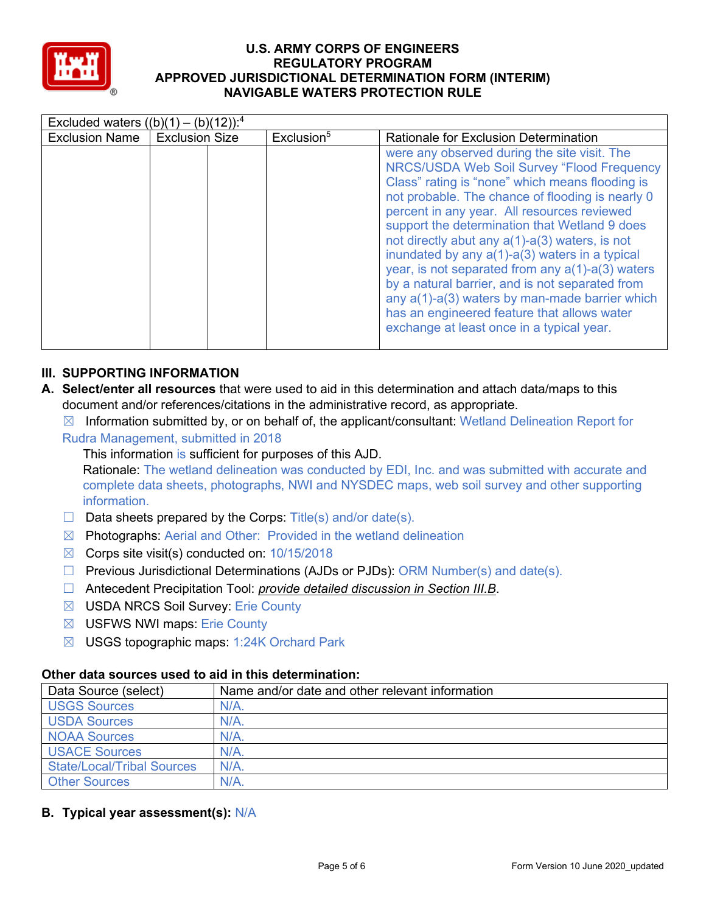

| Excluded waters $((b)(1) - (b)(12))$ : <sup>4</sup> |                       |                        |                                                                                                                                                                                                                                                                                                                                                                                                                                                                                                                                                                                                                                                                        |  |  |  |  |
|-----------------------------------------------------|-----------------------|------------------------|------------------------------------------------------------------------------------------------------------------------------------------------------------------------------------------------------------------------------------------------------------------------------------------------------------------------------------------------------------------------------------------------------------------------------------------------------------------------------------------------------------------------------------------------------------------------------------------------------------------------------------------------------------------------|--|--|--|--|
| <b>Exclusion Name</b>                               | <b>Exclusion Size</b> | Exclusion <sup>5</sup> | <b>Rationale for Exclusion Determination</b>                                                                                                                                                                                                                                                                                                                                                                                                                                                                                                                                                                                                                           |  |  |  |  |
|                                                     |                       |                        | were any observed during the site visit. The<br>NRCS/USDA Web Soil Survey "Flood Frequency<br>Class" rating is "none" which means flooding is<br>not probable. The chance of flooding is nearly 0<br>percent in any year. All resources reviewed<br>support the determination that Wetland 9 does<br>not directly abut any $a(1)$ - $a(3)$ waters, is not<br>inundated by any a(1)-a(3) waters in a typical<br>year, is not separated from any $a(1)$ - $a(3)$ waters<br>by a natural barrier, and is not separated from<br>any a(1)-a(3) waters by man-made barrier which<br>has an engineered feature that allows water<br>exchange at least once in a typical year. |  |  |  |  |

## **III. SUPPORTING INFORMATION**

- **A. Select/enter all resources** that were used to aid in this determination and attach data/maps to this document and/or references/citations in the administrative record, as appropriate.
	- $\boxtimes$  Information submitted by, or on behalf of, the applicant/consultant: Wetland Delineation Report for
	- Rudra Management, submitted in 2018

This information is sufficient for purposes of this AJD. Rationale: The wetland delineation was conducted by EDI, Inc. and was submitted with accurate and complete data sheets, photographs, NWI and NYSDEC maps, web soil survey and other supporting information.

- $\Box$  Data sheets prepared by the Corps: Title(s) and/or date(s).
- $\boxtimes$  Photographs: Aerial and Other: Provided in the wetland delineation
- $\boxtimes$  Corps site visit(s) conducted on: 10/15/2018
- ☐ Previous Jurisdictional Determinations (AJDs or PJDs): ORM Number(s) and date(s).
- ☐ Antecedent Precipitation Tool: *provide detailed discussion in Section III.B*.
- ☒ USDA NRCS Soil Survey: Erie County
- ☒ USFWS NWI maps: Erie County
- ☒ USGS topographic maps: 1:24K Orchard Park

## **Other data sources used to aid in this determination:**

| Data Source (select)              | Name and/or date and other relevant information |
|-----------------------------------|-------------------------------------------------|
| <b>USGS Sources</b>               | $N/A$ .                                         |
| <b>USDA Sources</b>               | $N/A$ .                                         |
| <b>NOAA Sources</b>               | N/A                                             |
| <b>USACE Sources</b>              | N/A                                             |
| <b>State/Local/Tribal Sources</b> | $N/A$ .                                         |
| <b>Other Sources</b>              | N/A                                             |

**B. Typical year assessment(s):** N/A